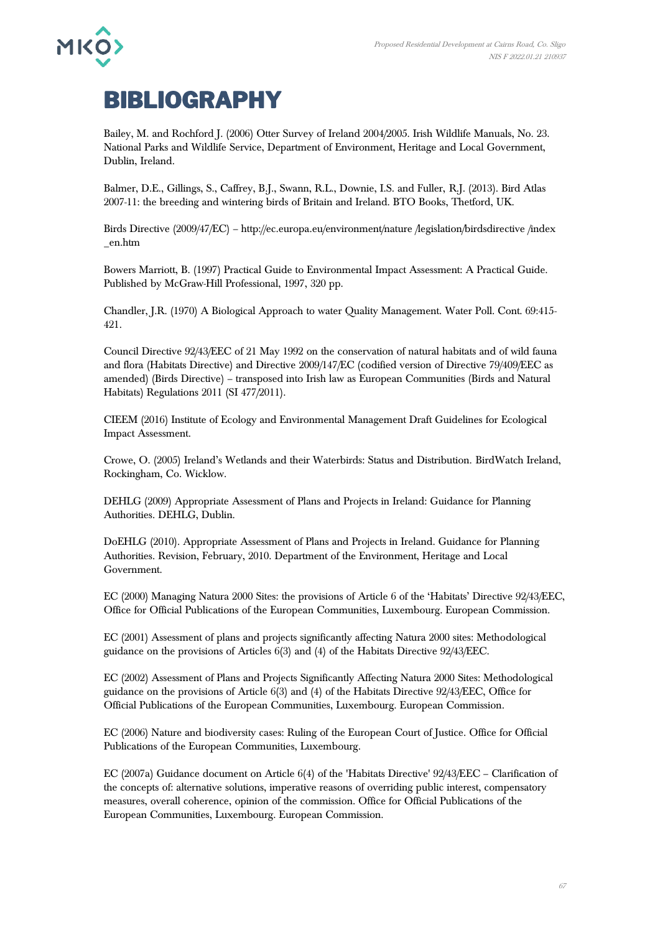

## **BIBLIOGRAPHY**

Bailey, M. and Rochford J. (2006) Otter Survey of Ireland 2004/2005. Irish Wildlife Manuals, No. 23. National Parks and Wildlife Service, Department of Environment, Heritage and Local Government, Dublin, Ireland.

Balmer, D.E., Gillings, S., Caffrey, B.J., Swann, R.L., Downie, I.S. and Fuller, R.J. (2013). Bird Atlas 2007-11: the breeding and wintering birds of Britain and Ireland. BTO Books, Thetford, UK.

Birds Directive (2009/47/EC) – http://ec.europa.eu/environment/nature /legislation/birdsdirective /index \_en.htm

Bowers Marriott, B. (1997) Practical Guide to Environmental Impact Assessment: A Practical Guide. Published by McGraw-Hill Professional, 1997, 320 pp.

Chandler, J.R. (1970) A Biological Approach to water Quality Management. Water Poll. Cont. 69:415- 421.

Council Directive 92/43/EEC of 21 May 1992 on the conservation of natural habitats and of wild fauna and flora (Habitats Directive) and Directive 2009/147/EC (codified version of Directive 79/409/EEC as amended) (Birds Directive) – transposed into Irish law as European Communities (Birds and Natural Habitats) Regulations 2011 (SI 477/2011).

CIEEM (2016) Institute of Ecology and Environmental Management Draft Guidelines for Ecological Impact Assessment.

Crowe, O. (2005) Ireland's Wetlands and their Waterbirds: Status and Distribution. BirdWatch Ireland, Rockingham, Co. Wicklow.

DEHLG (2009) Appropriate Assessment of Plans and Projects in Ireland: Guidance for Planning Authorities. DEHLG, Dublin.

DoEHLG (2010). Appropriate Assessment of Plans and Projects in Ireland. Guidance for Planning Authorities. Revision, February, 2010. Department of the Environment, Heritage and Local Government.

EC (2000) Managing Natura 2000 Sites: the provisions of Article 6 of the 'Habitats' Directive 92/43/EEC, Office for Official Publications of the European Communities, Luxembourg. European Commission.

EC (2001) Assessment of plans and projects significantly affecting Natura 2000 sites: Methodological guidance on the provisions of Articles 6(3) and (4) of the Habitats Directive 92/43/EEC.

EC (2002) Assessment of Plans and Projects Significantly Affecting Natura 2000 Sites: Methodological guidance on the provisions of Article 6(3) and (4) of the Habitats Directive 92/43/EEC, Office for Official Publications of the European Communities, Luxembourg. European Commission.

EC (2006) Nature and biodiversity cases: Ruling of the European Court of Justice. Office for Official Publications of the European Communities, Luxembourg.

EC (2007a) Guidance document on Article 6(4) of the 'Habitats Directive' 92/43/EEC – Clarification of the concepts of: alternative solutions, imperative reasons of overriding public interest, compensatory measures, overall coherence, opinion of the commission. Office for Official Publications of the European Communities, Luxembourg. European Commission.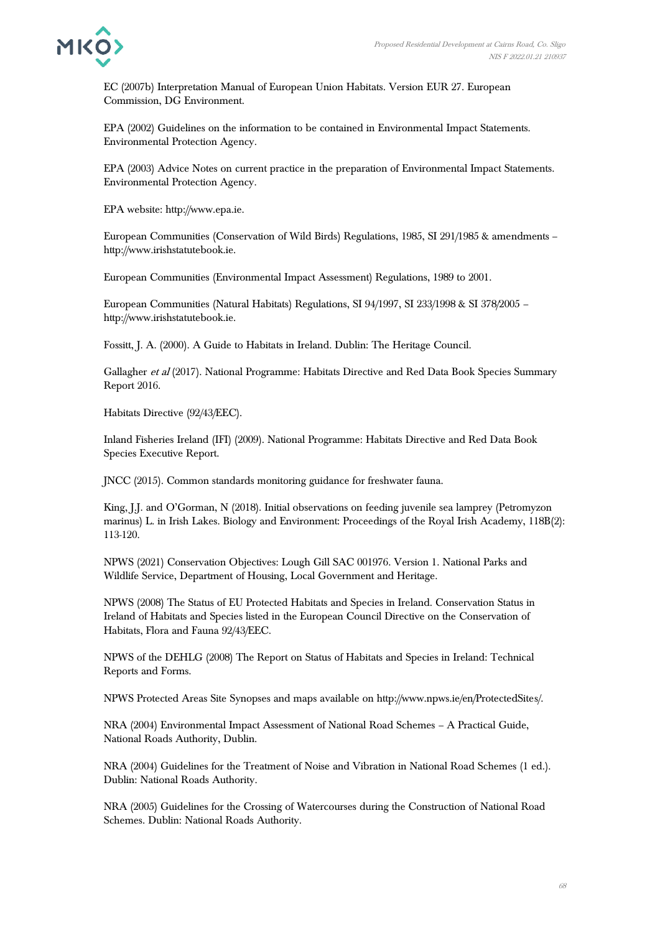

EC (2007b) Interpretation Manual of European Union Habitats. Version EUR 27. European Commission, DG Environment.

EPA (2002) Guidelines on the information to be contained in Environmental Impact Statements. Environmental Protection Agency.

EPA (2003) Advice Notes on current practice in the preparation of Environmental Impact Statements. Environmental Protection Agency.

EPA website: http://www.epa.ie.

European Communities (Conservation of Wild Birds) Regulations, 1985, SI 291/1985 & amendments – http://www.irishstatutebook.ie.

European Communities (Environmental Impact Assessment) Regulations, 1989 to 2001.

European Communities (Natural Habitats) Regulations, SI 94/1997, SI 233/1998 & SI 378/2005 – http://www.irishstatutebook.ie.

Fossitt, J. A. (2000). A Guide to Habitats in Ireland. Dublin: The Heritage Council.

Gallagher et al (2017). National Programme: Habitats Directive and Red Data Book Species Summary Report 2016.

Habitats Directive (92/43/EEC).

Inland Fisheries Ireland (IFI) (2009). National Programme: Habitats Directive and Red Data Book Species Executive Report.

JNCC (2015). Common standards monitoring guidance for freshwater fauna.

King, J.J. and O'Gorman, N (2018). Initial observations on feeding juvenile sea lamprey (Petromyzon marinus) L. in Irish Lakes. Biology and Environment: Proceedings of the Royal Irish Academy, 118B(2): 113-120.

NPWS (2021) Conservation Objectives: Lough Gill SAC 001976. Version 1. National Parks and Wildlife Service, Department of Housing, Local Government and Heritage.

NPWS (2008) The Status of EU Protected Habitats and Species in Ireland. Conservation Status in Ireland of Habitats and Species listed in the European Council Directive on the Conservation of Habitats, Flora and Fauna 92/43/EEC.

NPWS of the DEHLG (2008) The Report on Status of Habitats and Species in Ireland: Technical Reports and Forms.

NPWS Protected Areas Site Synopses and maps available on http://www.npws.ie/en/ProtectedSites/.

NRA (2004) Environmental Impact Assessment of National Road Schemes – A Practical Guide, National Roads Authority, Dublin.

NRA (2004) Guidelines for the Treatment of Noise and Vibration in National Road Schemes (1 ed.). Dublin: National Roads Authority.

NRA (2005) Guidelines for the Crossing of Watercourses during the Construction of National Road Schemes. Dublin: National Roads Authority.